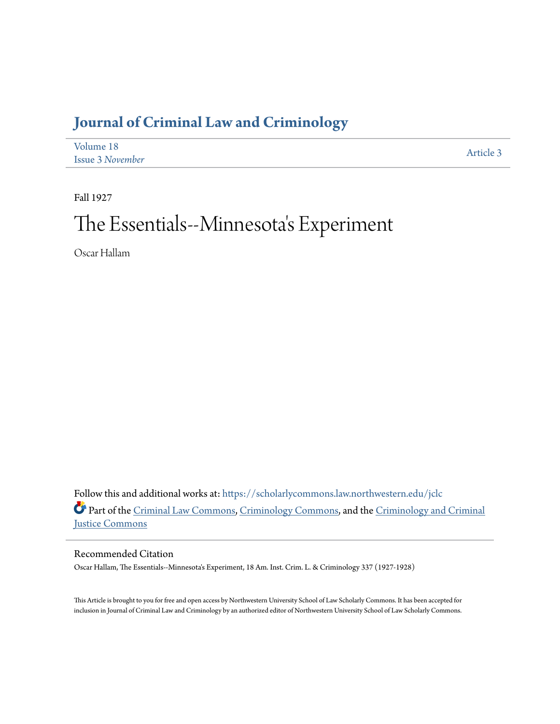# **[Journal of Criminal Law and Criminology](https://scholarlycommons.law.northwestern.edu/jclc?utm_source=scholarlycommons.law.northwestern.edu%2Fjclc%2Fvol18%2Fiss3%2F3&utm_medium=PDF&utm_campaign=PDFCoverPages)**

| Volume 18               | Article 3 |
|-------------------------|-----------|
| <b>Issue 3 November</b> |           |

Fall 1927

# The Essentials--Minnesota 's Experiment

Oscar Hallam

Follow this and additional works at: [https://scholarlycommons.law.northwestern.edu/jclc](https://scholarlycommons.law.northwestern.edu/jclc?utm_source=scholarlycommons.law.northwestern.edu%2Fjclc%2Fvol18%2Fiss3%2F3&utm_medium=PDF&utm_campaign=PDFCoverPages) Part of the [Criminal Law Commons](http://network.bepress.com/hgg/discipline/912?utm_source=scholarlycommons.law.northwestern.edu%2Fjclc%2Fvol18%2Fiss3%2F3&utm_medium=PDF&utm_campaign=PDFCoverPages), [Criminology Commons](http://network.bepress.com/hgg/discipline/417?utm_source=scholarlycommons.law.northwestern.edu%2Fjclc%2Fvol18%2Fiss3%2F3&utm_medium=PDF&utm_campaign=PDFCoverPages), and the [Criminology and Criminal](http://network.bepress.com/hgg/discipline/367?utm_source=scholarlycommons.law.northwestern.edu%2Fjclc%2Fvol18%2Fiss3%2F3&utm_medium=PDF&utm_campaign=PDFCoverPages) [Justice Commons](http://network.bepress.com/hgg/discipline/367?utm_source=scholarlycommons.law.northwestern.edu%2Fjclc%2Fvol18%2Fiss3%2F3&utm_medium=PDF&utm_campaign=PDFCoverPages)

Recommended Citation

Oscar Hallam, The Essentials--Minnesota's Experiment, 18 Am. Inst. Crim. L. & Criminology 337 (1927-1928)

This Article is brought to you for free and open access by Northwestern University School of Law Scholarly Commons. It has been accepted for inclusion in Journal of Criminal Law and Criminology by an authorized editor of Northwestern University School of Law Scholarly Commons.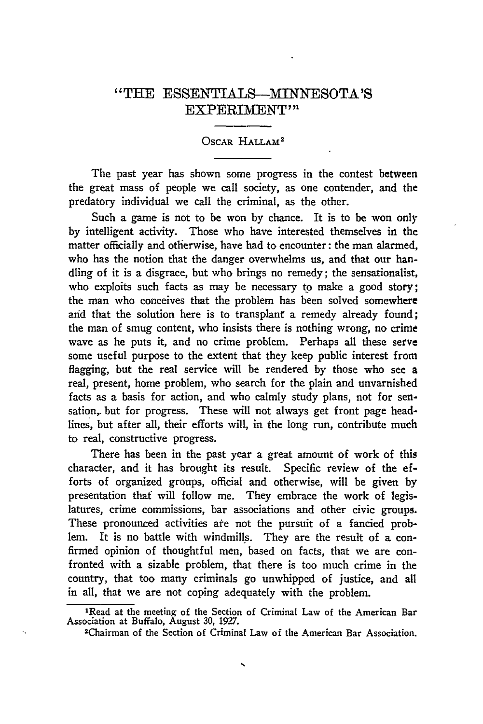## "THE ESSENTIALS--MINNESOTA'S EXPERIMENT"

#### OSCAR HALLAM<sup>2</sup>

The past year has shown some progress in the contest between the great mass of people we call society, as one contender, and the predatory individual we call the criminal, as the other.

Such a game is not to be won by chance. It is to be won only by intelligent activity. Those who have interested themselves in the matter officially and otherwise, have had to encounter: the man alarmed, who has the notion that the danger overwhelms us, and that our handling of it is a disgrace, but who brings no remedy; the sensationalist, who exploits such facts as may be necessary to make a good story; the man who conceives that the problem has been solved somewhere and that the solution here is to transplant a remedy already found; the man of smug content, who insists there is nothing wrong, no crime wave as he puts it, and no crime problem. Perhaps all these serve some useful purpose to the extent that they keep public interest from flagging, but the real service will be rendered by those who see a real, present, home problem, who search for the plain and unvarnished facts as a basis for action, and who calmly study plans, not for sensation, but for progress. These will not always get front page headlines, but after all, their efforts will, in the long run, contribute much to real, constructive progress.

There has been in the past year a great amount of work of this character, and it has brought its result. Specific review of the efforts of organized groups, official and otherwise, will be given by presentation that will follow me. They embrace the work of legislatures, crime commissions, bar associations and other civic groups. These pronounced activities ate not the pursuit of a fancied problem. It is no battle with windmills. They are the result of a confirmed opinion of thoughtful men, based on facts, that we are confronted with a sizable problem, that there is too much crime in the country, that too many criminals go unwhipped of justice, and all in all, that we are not coping adequately with the problem.

<sup>&</sup>lt;sup>1</sup>Read at the meeting of the Section of Criminal Law of the American Bar Association at Buffalo, August **30,** 1927.

<sup>-</sup>Chairman of the Section of Criminal Law of the American Bar Association.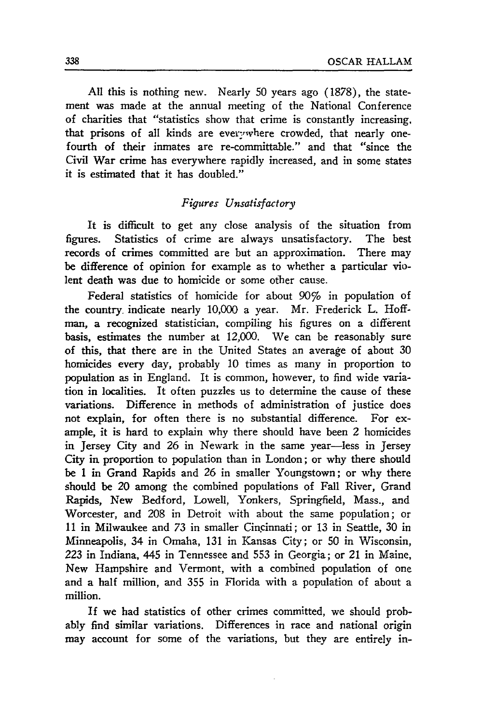All this is nothing new. Nearly 50 years ago (1878), the statement was made at the annual meeting of the National Conference of charities that "statistics show that crime is constantly increasing. that prisons of all kinds are everwhere crowded, that nearly onefourth of their inmates are re-committable." and that "since the Civil War crime has everywhere rapidly increased, and in some states it is estimated that it has doubled."

#### *Figures Unsatisfactory*

It is difficult to get any close analysis of the situation from figures. Statistics of crime are always unsatisfactory. The best records of crimes committed are but an approximation. There may be difference of opinion for example as to whether a particular violent death was due to homicide or some other cause.

Federal statistics of homicide for about 90% in population of the country, indicate nearly 10,000 a year. Mr. Frederick L. Hoffman, a recognized statistician, compiling his figures on a different basis, estimates the number at 12,000. We can be reasonably sure of this, that there are in the United States an average of about 30 homicides every day, probably 10 times as many in proportion to population as in England. It is common, however, to find wide variation in localities. It often puzzles us to determine the cause of these variations. Difference in methods of administration of justice does not explain, for often there is no substantial difference. For example, it is hard to explain why there should have been 2 homicides in Jersey City and **26** in Newark in the same year-less in Jersey City in proportion to population than in London; or why there should be 1 in Grand Rapids and 26 in smaller Youngstown; or why there should be 20 among the combined populations of Fall River, Grand Rapids, New Bedford, Lowell, Yonkers, Springfield, Mass., and Worcester, and 208 in Detroit with about the same population; or 11 in Milwaukee and **73** in smaller Cincinnati; or 13 in Seattle, 30 in Minneapolis, 34 in Omaha, 131 in Kansas City; or **50** in Wisconsin, 223 in Indiana, 445 in Tennessee and 553 in Georgia; or 21 in Maine, New Hampshire and Vermont, with a combined population of one and a half million, and 355 in Florida with a population of about a million.

If we had statistics of other crimes committed, we should probably find similar variations. Differences in race and national origin may account for some of the variations, but they are entirely in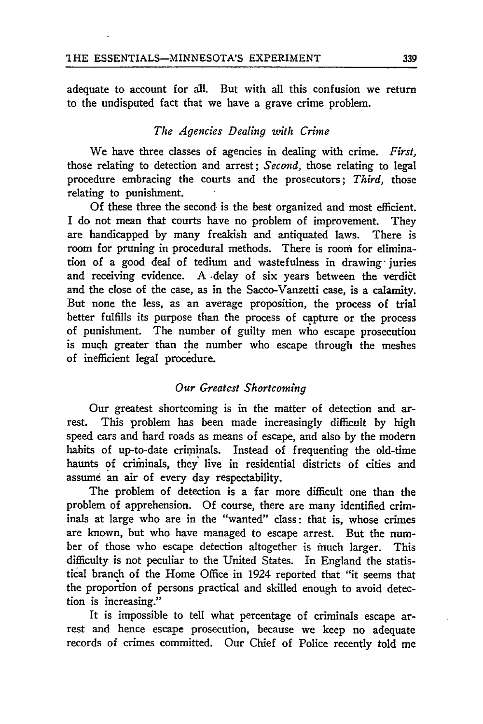adequate to account for all. But with all this confusion we return to the undisputed fact that we have a grave crime problem.

#### *The Agencies Dealing zwith Crime*

We have three classes of agencies in dealing with crime. *First,* those relating to detection and arrest; *Second,* those relating to legal procedure embracing the courts and the prosecutors; *Third,* those relating to punishment.

Of these three the second is the best organized and most efficient. I do not mean that courts have no problem of improvement. They are handicapped **by** many freakish and antiquated laws. There is room for pruning in procedural methods. There is room for elimination of a good deal of tedium and wastefulness in drawing- juries and receiving evidence. A delay of six years between the verdict and the close of the case, as in the Sacco-Vanzetti case, is a calamity. But none the less, as an average proposition, the process of trial better fulfills its purpose than the process of capture or the process of punishment. The number of guilty men who escape prosecution is much greater than the number who escape through the meshes of inefficient legal procedure.

#### *Our Greatest Shortcoming*

Our greatest shortcoming is in the matter of detection and arrest. This problem has been made increasingly difficult **by** high speed cars and hard roads as means of escape, and also by the modern habits of up-to-date criminals. Instead of frequenting the old-time haunts of criminals, they live in residential districts of cities and assume an **air** of every day respectability.

The problem of detection is a far more difficult one than the problem of apprehension. **Of** course, there are many identified criminals at large who are in the "wanted" class: that is, whose crimes are known, but who have managed to escape arrest. But the number of those who escape detection altogether is much larger. This difficulty is not peculiar to the United States. In England the statistical branch of the Home Office in 1924 reported that "it seems that the proportion of persons practical and skilled enough to avoid detection is increasing."

It is impossible to tell what percentage of criminals escape arrest and hence escape prosecution, because we keep no adequate records of crimes committed. Our Chief of Police recently told me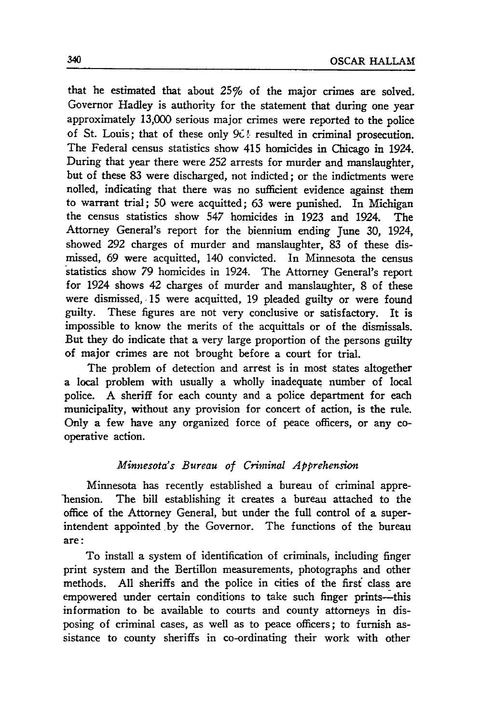that he estimated that about 25% of the major crimes are solved. Governor Hadley is authority for the statement that during one year approximately 13,000 serious major crimes were reported to the police of St. Louis; that of these only **961-** resulted in criminal prosecution. The Federal census statistics show 415 homicides in Chicago in 1924. During that year there were **252** arrests for murder and manslaughter, but of these **83** were discharged, not indicted; or the indictments were nolled, indicating that there was no sufficient evidence against them to warrant trial; 50 were acquitted; 63 were punished. In Michigan the census statistics show 547 homicides in 1923 and 1924. The Attorney General's report for the biennium ending June 30, 1924, showed 292 charges of murder and manslaughter, 83 of these dismissed, 69 were acquitted, 140 convicted. In Minnesota the census statistics show 79 homicides in 1924. The Attorney General's report for 1924 shows 42 charges of murder and manslaughter, 8 of these were dismissed, **15** were acquitted, 19 pleaded guilty or were found guilty. These figures are not very conclusive or satisfactory. It is impossible to know the merits of the acquittals or of the dismissals. But they do indicate that a very large proportion of the persons guilty of major crimes are not brought before a court for trial.

The problem of detection and arrest is in most states altogether a local problem with usually a wholly inadequate number of local police. A sheriff for each county and a police department for each municipality, without any provision for concert of action, is the rule. Only a few have any organized force of peace officers, or any cooperative action.

#### *Minnesota's Bureau of Criminal Apprehension*

Minnesota has recently established a bureau of criminal apprelhension. The bill establishing it creates a bureau attached to the office of the Attorney General, but under the full control of a superintendent appointed by the Governor. The functions of the bureau are:

To install a system of identification of criminals, including finger print system and the Bertillon measurements, photographs and other methods. All sheriffs and the police in cities of the firsf class are empowered under certain conditions to take such finger prints-this information to be available to courts and county attorneys in disposing of criminal cases, as well as to peace officers; to furnish assistance to county sheriffs in co-ordinating their work with other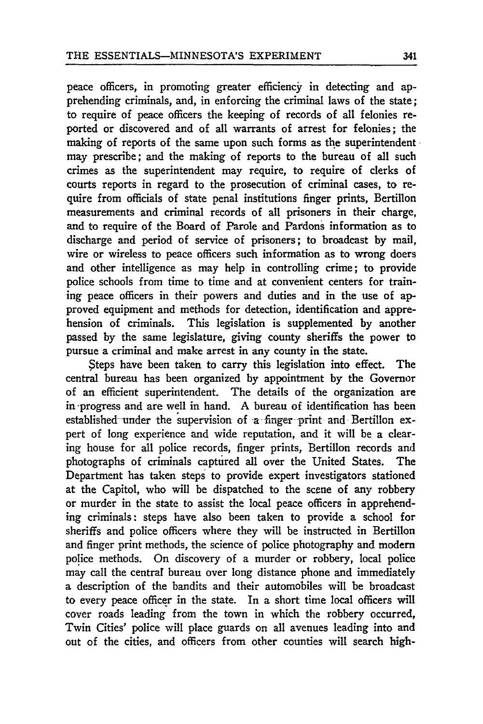peace officers, in promoting greater efficiency in detecting and apprehending criminals, and, in enforcing the criminal laws of the state; to require of peace officers the keeping of records of all felonies reported or discovered and of all warrants of arrest for felonies; the making of reports of the same upon such forms as the superintendent may prescribe; and the making of reports to the bureau of all such crimes as the superintendent may require, to require of clerks of courts reports in regard to the prosecution of criminal cases, to require from officials of state penal institutions finger prints, Bertillon measurements and criminal records of all prisoners in their charge, and to require of the Board of Parole and Pardons information as to discharge and period of service of prisoners; to broadcast **by** mail, wire or wireless to peace officers such information as to wrong doers and other intelligence as may help in controlling crime; to provide police schools from time to time and at convenient centers for training peace officers in their powers and duties and in the use of approved equipment and methods for detection, identification and apprehension of criminals. This legislation is supplemented by another passed by the same legislature, giving county sheriffs the power to pursue a criminal and make arrest in any county in the state.

steps have been taken to carry this legislation into effect. The central bureau has been organized by appointment **by** the Governor of an efficient superintendent. The details of the organization are in progress and are well in hand. A bureau of identification has been established under the supervision of a finger print and Bertillon expert of long experience and wide reputation, and it will be a clearing house for all police records, finger prints, Bertillon records and photographs of criminals captured all over the United States. The Department has taken steps to provide expert investigators stationed at the Capitol, who will be dispatched to the scene of any robbery or murder in the state to assist the local peace officers in apprehending criminals: steps have also been taken to provide a school for sheriffs and police officers where they will be instructed in Bertillon and finger print methods, the science of police photography and modem police methods. On discovery of a murder or robbery, local police may call the central bureau over long distance phone and immediately a description of the bandits and their automobiles will be broadcast to every peace officer in the state. In a short time local officers will cover roads leading from the town in which the robbery occurred, Twin Cities' police will place guards on all avenues leading into and out **of** the cities, and officers from other counties will search high-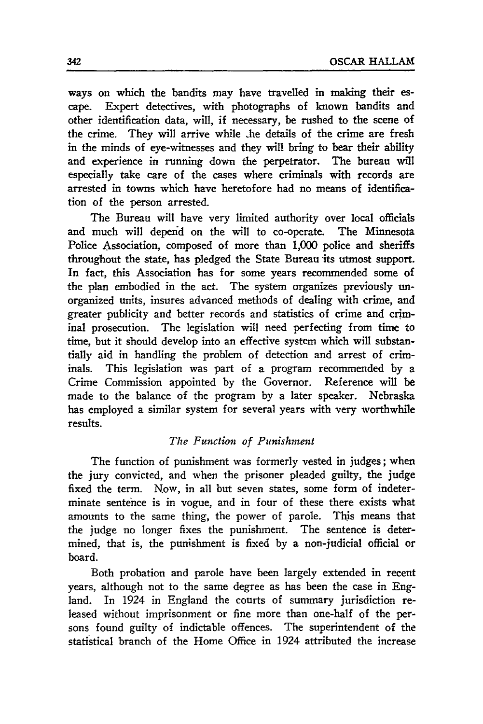ways on which the bandits may have travelled in making their escape. Expert detectives, with photographs of known bandits and other identification data, will, if necessary, be rushed to the scene of the crime. They will arrive while .he details of the crime are fresh in the minds of eye-witnesses and they will bring to bear their ability and experience in running down the perpetrator. The bureau will especially take care of the cases where criminals with records are arrested in towns which have heretofore had no means of identification of the person arrested.

**The** Bureau will have very limited authority over local officials and much will deperid on the will to co-operate. The Minnesota Police Association, composed of more than **1,000** police and sheriffs throughout the state, has pledged the State Bureau its utmost support. In fact, this Association has for some years recommended some of the plan embodied in the act. The system organizes previously unorganized units, insures advanced methods of dealing with crime, and greater publicity and better records and statistics of crime and criminal prosecution. The legislation will need perfecting from **time** to time, **but** it should develop into an effective system which will substantially aid in handling the problem of detection and arrest of criminals. This legislation was part of a program recommended **by** a Crime Commission appointed **by** the Governor. Reference will be made to the balance of the program **by** a later speaker. Nebraska has employed a similar system for several years with very worthwhile results.

#### *The Function of Punishment*

The function of punishment was formerly vested in judges; when the jury convicted, and when the prisoner pleaded guilty, the judge fixed the term. Now, in all but seven states, some form of indeterminate sentence is in vogue, and in four of these there exists what amounts to the same thing, the power of parole. This means that the judge no longer fixes the punishment. The sentence is determined, that is, the punishment is fixed **by** a non-judicial official or board.

Both probation and parole have been largely extended in recent years, although not to the same degree as has been the case in England. In 1924 in England the courts of summary jurisdiction released without imprisonment or fine more than one-half of the persons found guilty of indictable offences. The superintendent of the statistical branch of the Home Office in 1924 attributed the increase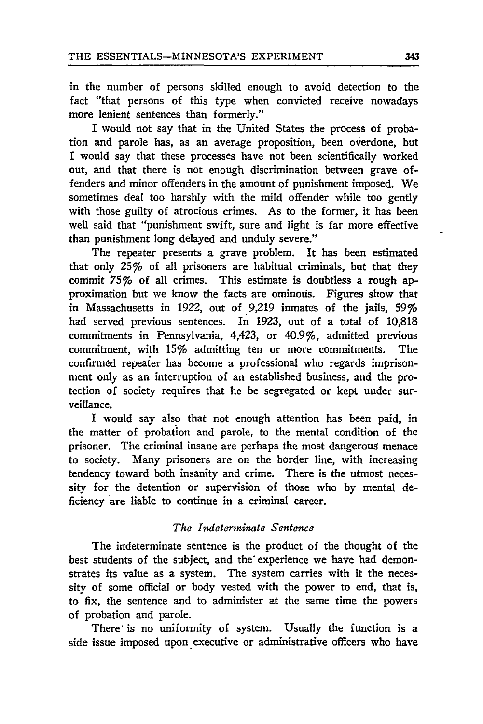in the number of persons skilled enough to avoid detection to the fact "that persons of this type when convicted receive nowadays more lenient sentences than formerly."

I would not say that in the United States the process of probation and parole has, as an average proposition, been overdone, but I would say that these processes have not been scientifically worked out, and that there is not enough discrimination between grave offenders and minor offenders in the amount of punishment imposed. We sometimes deal too harshly with the mild offender while too gently with those guilty of atrocious crimes. As to the former, it has been well said that "punishment swift, sure and light is far more effective than punishment long delayed and unduly severe."

The repeater presents a grave problem. It has been estimated that only 25% of all prisoners are habitual criminals, but that they commit 75% of all crimes. This estimate is doubtless a rough approximation but we know the facts are ominous. Figures show that in Massachusetts in 1922, out of 9,219 inmates of the jails, 59% had served previous sentences. In 1923, out of a total of 10,818 commitments in Pennsylvania, 4,423, or 40.9%, admitted previous commitment, with 15% admitting ten or more commitments. The confirmed repeater has become a professional who regards imprisonment only as an interruption of an established business, and the protection of society requires that he be segregated or kept under surveillance.

I would say also that not enough attention has been paid, in the matter of probation and parole, to the mental condition of the prisoner. The criminal insane are perhaps the most dangerous menace to society. Many prisoners are on the border line, with increasing tendency toward both insanity and crime. There is the utmost necessity for the detention or supervision of those who by mental deficiency are liable to continue in a criminal career.

### *The Indeterminate Sentence*

The indeterminate sentence is the product of the thought of the best students of the subject, and the experience we have had demonstrates its value as a system. The system carries with it the necessity of some official or body vested with the power to end, that is, to fix, the sentence and to administer at the same time the powers of probation and parole.

There' is no uniformity of system. Usually the function is a side issue imposed upon executive or administrative officers who have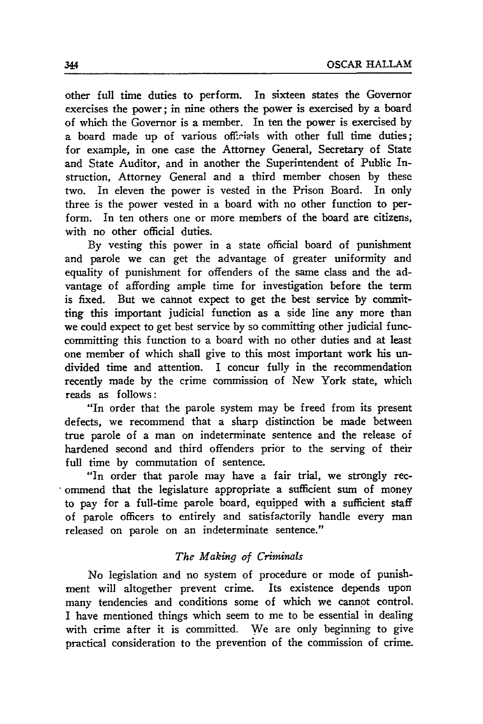other full time duties to perform. In sixteen states the Governor exercises the power; in nine others the power is exercised by a board of which the Governor is a member. In ten the power is exercised by a board made up of various ofifiials with other full time duties; for example, in one case the Attorney General, Secretary of State and State Auditor, and in another the Superintendent of Public Instruction, Attorney General and a third member chosen by these two. In eleven the power is vested in the Prison Board. In only three is the power vested in a board with no other function to perform. In ten others one or more members of the board are citizens, with no other official duties.

By vesting this power in a state official board of punishment and parole we can get the advantage of greater uniformity and equality of punishment for offenders of the same class and the advantage of affording ample time for investigation before the term is fixed. But we cannot expect to get the best service by committing this important judicial function as a side line any more than we could expect to get best service by so committing other judicial funccommitting this function to a board with no other duties and at least one member of which shall give to this most important work his undivided time and attention. I concur fully in the recommendation recently made by the crime commission of New York state, which reads as follows:

"In order that the parole system may be freed from its present defects, we recommend that a sharp distinction be made between true parole of a man on indeterminate sentence and the release of hardened second and third offenders prior to the serving of their full time by commutation of sentence.

"In order that parole may have a fair trial, we strongly recommend that the legislature appropriate a sufficient sum of money to pay for a full-time parole board, equipped with a sufficient staff of parole officers to entirely and satisfagtorily handle every man released on parole on an indeterminate sentence."

#### *The Making* cf *Criminals*

No legislation and no system of procedure or mode of punishment will altogether prevent crime. Its existence depends upon many tendencies and conditions some of which we cannot control. I have mentioned things which seem to me to be essential in dealing with crime after it is committed. We are only beginning to give practical consideration to the prevention of the commission of crime.